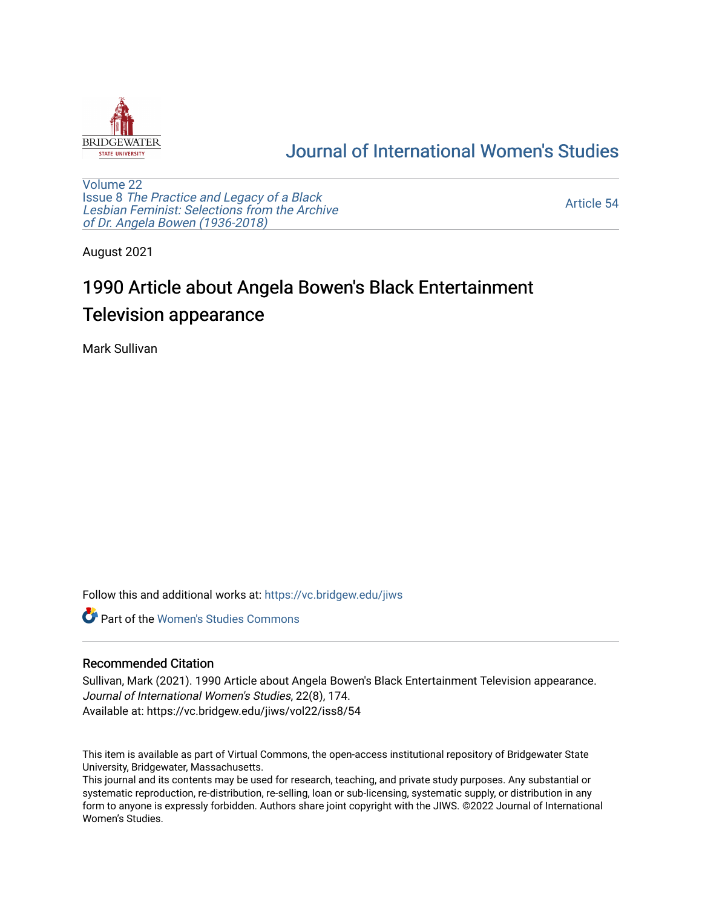

## [Journal of International Women's Studies](https://vc.bridgew.edu/jiws)

[Volume 22](https://vc.bridgew.edu/jiws/vol22) Issue 8 [The Practice and Legacy of a Black](https://vc.bridgew.edu/jiws/vol22/iss8)  [Lesbian Feminist: Selections from the Archive](https://vc.bridgew.edu/jiws/vol22/iss8)  [of Dr. Angela Bowen \(1936-2018\)](https://vc.bridgew.edu/jiws/vol22/iss8)

[Article 54](https://vc.bridgew.edu/jiws/vol22/iss8/54) 

August 2021

# 1990 Article about Angela Bowen's Black Entertainment Television appearance

Mark Sullivan

Follow this and additional works at: [https://vc.bridgew.edu/jiws](https://vc.bridgew.edu/jiws?utm_source=vc.bridgew.edu%2Fjiws%2Fvol22%2Fiss8%2F54&utm_medium=PDF&utm_campaign=PDFCoverPages)

**C** Part of the Women's Studies Commons

### Recommended Citation

Sullivan, Mark (2021). 1990 Article about Angela Bowen's Black Entertainment Television appearance. Journal of International Women's Studies, 22(8), 174. Available at: https://vc.bridgew.edu/jiws/vol22/iss8/54

This item is available as part of Virtual Commons, the open-access institutional repository of Bridgewater State University, Bridgewater, Massachusetts.

This journal and its contents may be used for research, teaching, and private study purposes. Any substantial or systematic reproduction, re-distribution, re-selling, loan or sub-licensing, systematic supply, or distribution in any form to anyone is expressly forbidden. Authors share joint copyright with the JIWS. ©2022 Journal of International Women's Studies.